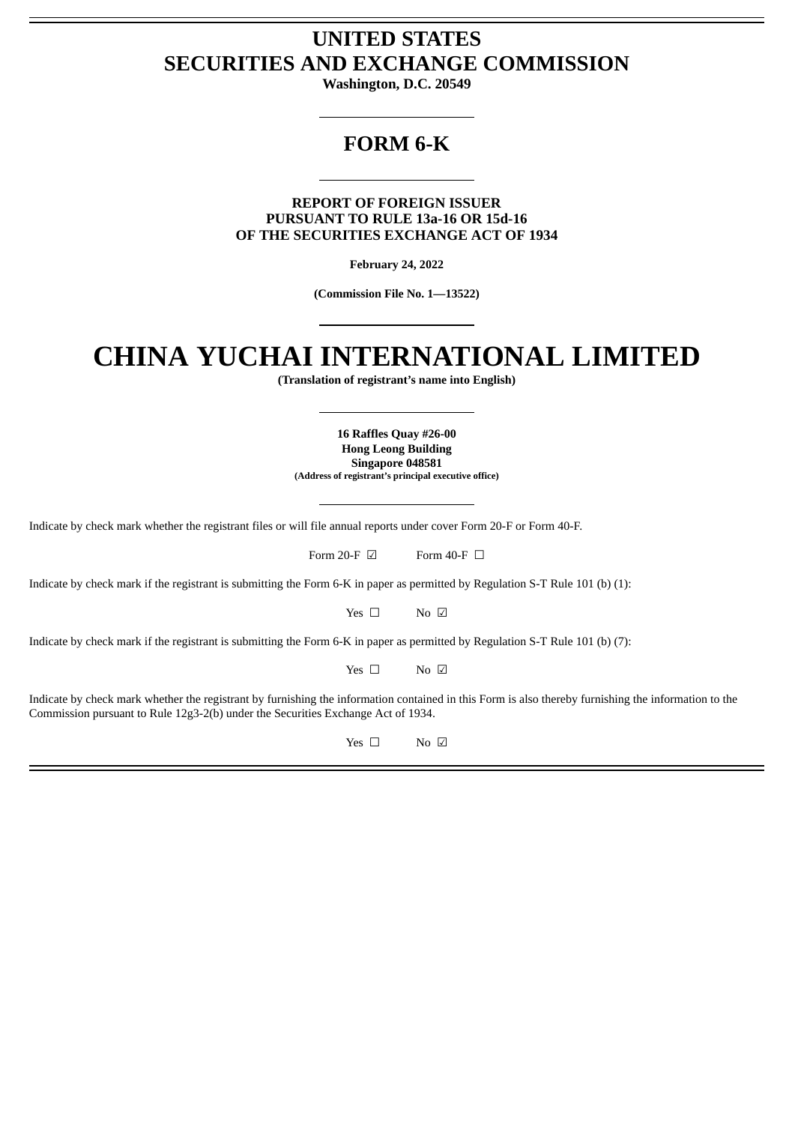## **UNITED STATES SECURITIES AND EXCHANGE COMMISSION**

**Washington, D.C. 20549**

## **FORM 6-K**

**REPORT OF FOREIGN ISSUER PURSUANT TO RULE 13a-16 OR 15d-16 OF THE SECURITIES EXCHANGE ACT OF 1934**

**February 24, 2022**

**(Commission File No. 1—13522)**

# **CHINA YUCHAI INTERNATIONAL LIMITED**

**(Translation of registrant's name into English)**

**16 Raffles Quay #26-00 Hong Leong Building Singapore 048581 (Address of registrant's principal executive office)**

Indicate by check mark whether the registrant files or will file annual reports under cover Form 20-F or Form 40-F.

Form 20-F  $\boxdot$  Form 40-F  $\Box$ 

Indicate by check mark if the registrant is submitting the Form 6-K in paper as permitted by Regulation S-T Rule 101 (b) (1):

Yes □ No ☑

Indicate by check mark if the registrant is submitting the Form 6-K in paper as permitted by Regulation S-T Rule 101 (b) (7):

Yes □ No ☑

Indicate by check mark whether the registrant by furnishing the information contained in this Form is also thereby furnishing the information to the Commission pursuant to Rule 12g3-2(b) under the Securities Exchange Act of 1934.

Yes □ No ☑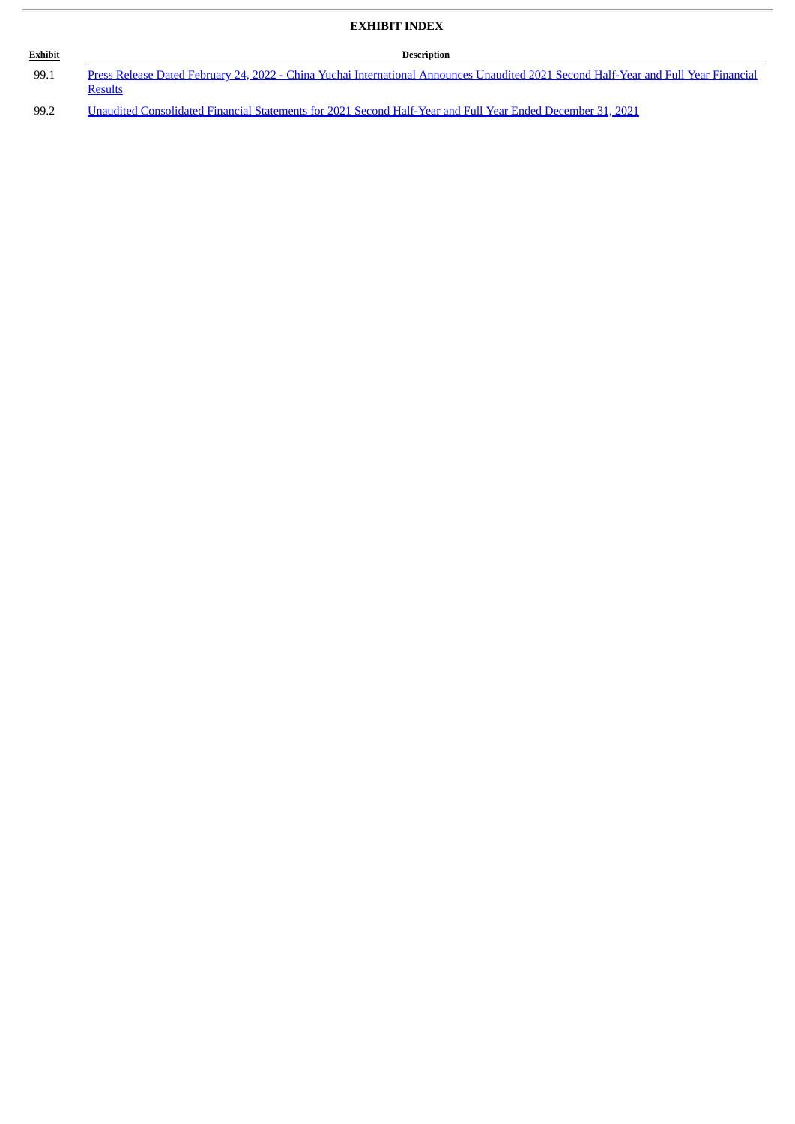### **EXHIBIT INDEX**

| <b>Exhibit</b> | Description |
|----------------|-------------|

 $\overline{a}$ 

| 99.1 | Press Release Dated February 24, 2022 - China Yuchai International Announces Unaudited 2021 Second Half-Year and Full Year Financial |
|------|--------------------------------------------------------------------------------------------------------------------------------------|
|      | <b>Results</b>                                                                                                                       |

99.2 Unaudited [Consolidated](#page-10-0) Financial Statements for 2021 Second Half-Year and Full Year Ended December 31, 2021

ŗ.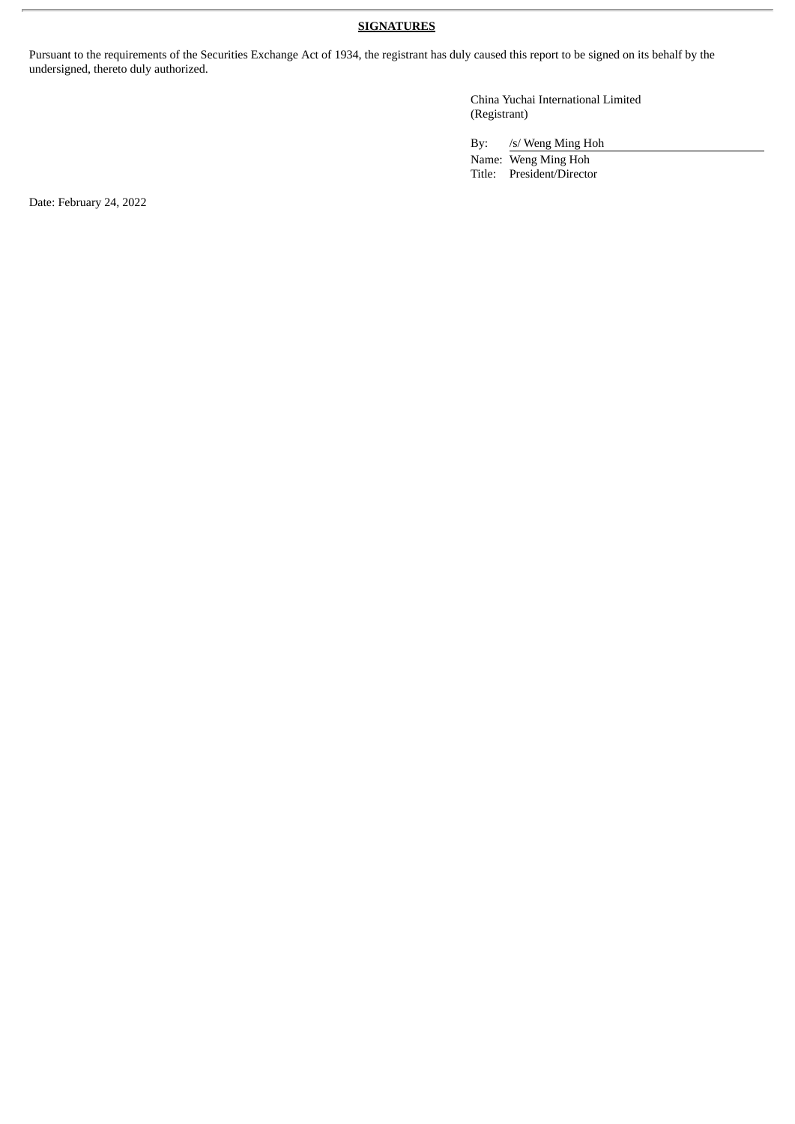#### **SIGNATURES**

Pursuant to the requirements of the Securities Exchange Act of 1934, the registrant has duly caused this report to be signed on its behalf by the undersigned, thereto duly authorized.

> China Yuchai International Limited (Registrant)

By: /s/ Weng Ming Hoh

Name: Weng Ming Hoh Title: President/Director

Date: February 24, 2022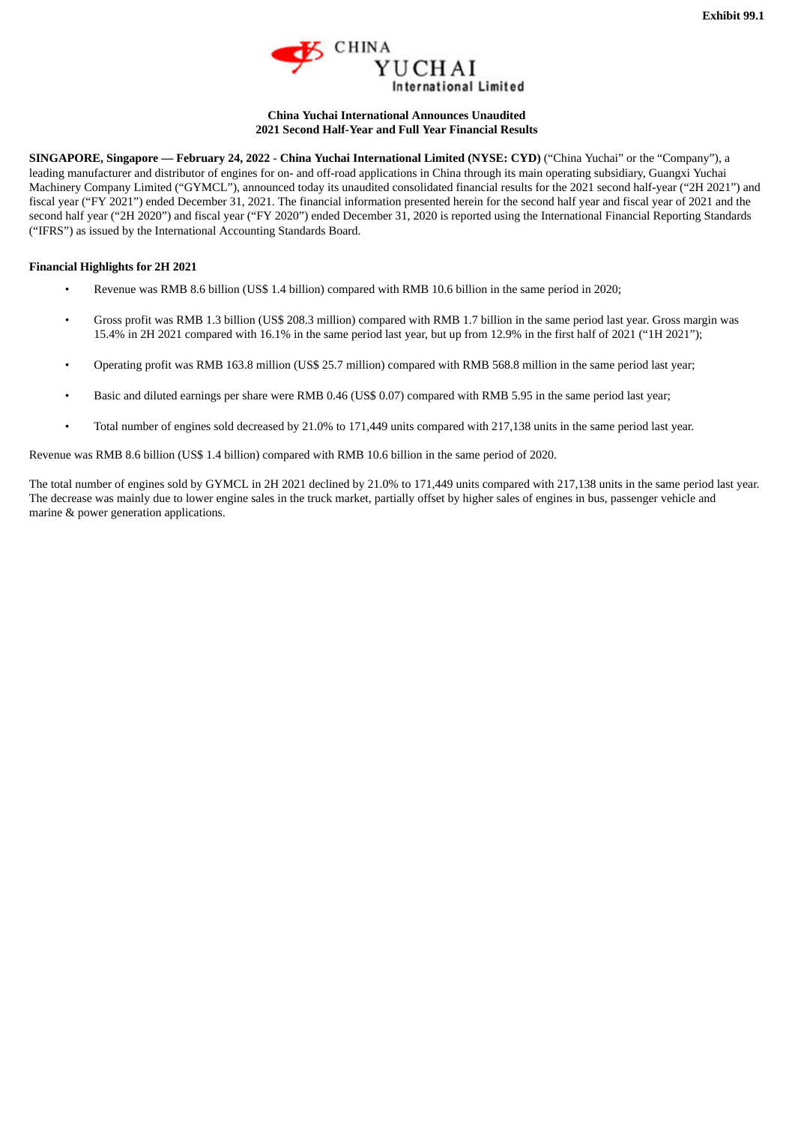

#### **China Yuchai International Announces Unaudited 2021 Second Half-Year and Full Year Financial Results**

<span id="page-3-0"></span>**SINGAPORE, Singapore — February 24, 2022** - **China Yuchai International Limited (NYSE: CYD)** ("China Yuchai" or the "Company"), a leading manufacturer and distributor of engines for on- and off-road applications in China through its main operating subsidiary, Guangxi Yuchai Machinery Company Limited ("GYMCL"), announced today its unaudited consolidated financial results for the 2021 second half-year ("2H 2021") and fiscal year ("FY 2021") ended December 31, 2021. The financial information presented herein for the second half year and fiscal year of 2021 and the second half year ("2H 2020") and fiscal year ("FY 2020") ended December 31, 2020 is reported using the International Financial Reporting Standards ("IFRS") as issued by the International Accounting Standards Board.

#### **Financial Highlights for 2H 2021**

- Revenue was RMB 8.6 billion (US\$ 1.4 billion) compared with RMB 10.6 billion in the same period in 2020;
- Gross profit was RMB 1.3 billion (US\$ 208.3 million) compared with RMB 1.7 billion in the same period last year. Gross margin was 15.4% in 2H 2021 compared with 16.1% in the same period last year, but up from 12.9% in the first half of 2021 ("1H 2021");
- Operating profit was RMB 163.8 million (US\$ 25.7 million) compared with RMB 568.8 million in the same period last year;
- Basic and diluted earnings per share were RMB 0.46 (US\$ 0.07) compared with RMB 5.95 in the same period last year;
- Total number of engines sold decreased by 21.0% to 171,449 units compared with 217,138 units in the same period last year.

Revenue was RMB 8.6 billion (US\$ 1.4 billion) compared with RMB 10.6 billion in the same period of 2020.

The total number of engines sold by GYMCL in 2H 2021 declined by 21.0% to 171,449 units compared with 217,138 units in the same period last year. The decrease was mainly due to lower engine sales in the truck market, partially offset by higher sales of engines in bus, passenger vehicle and marine & power generation applications.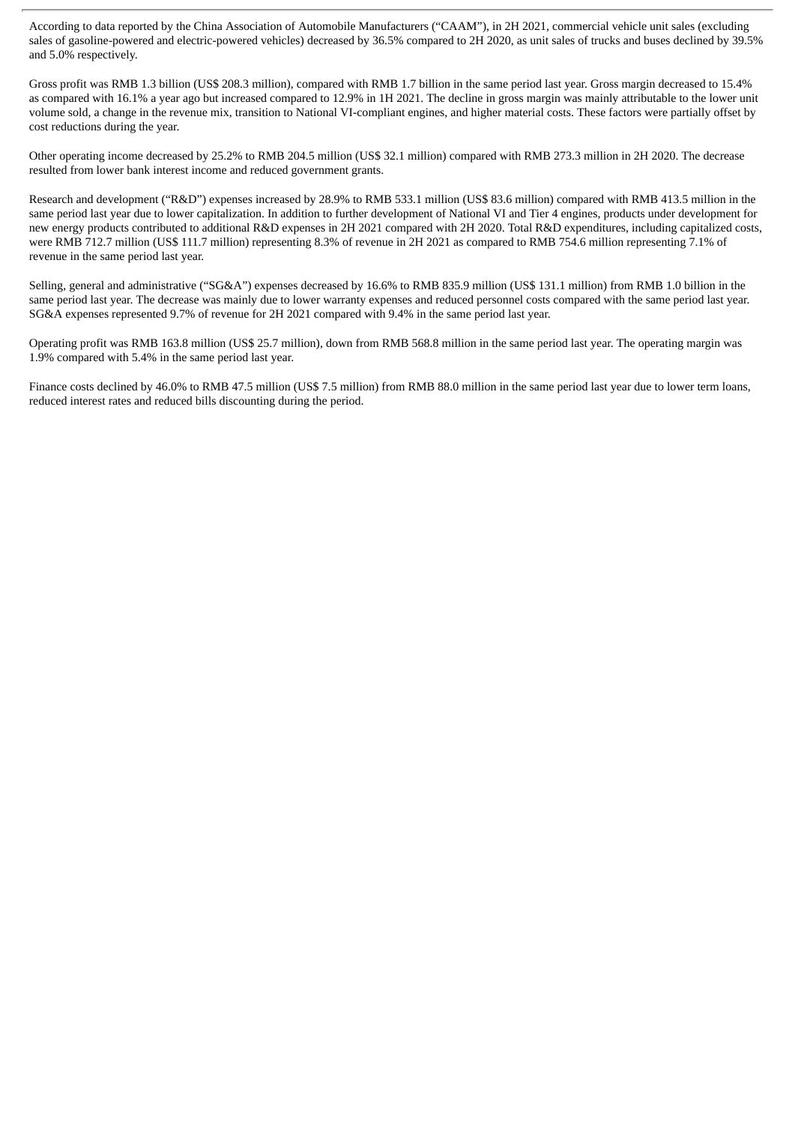According to data reported by the China Association of Automobile Manufacturers ("CAAM"), in 2H 2021, commercial vehicle unit sales (excluding sales of gasoline-powered and electric-powered vehicles) decreased by 36.5% compared to 2H 2020, as unit sales of trucks and buses declined by 39.5% and 5.0% respectively.

Gross profit was RMB 1.3 billion (US\$ 208.3 million), compared with RMB 1.7 billion in the same period last year. Gross margin decreased to 15.4% as compared with 16.1% a year ago but increased compared to 12.9% in 1H 2021. The decline in gross margin was mainly attributable to the lower unit volume sold, a change in the revenue mix, transition to National VI-compliant engines, and higher material costs. These factors were partially offset by cost reductions during the year.

Other operating income decreased by 25.2% to RMB 204.5 million (US\$ 32.1 million) compared with RMB 273.3 million in 2H 2020. The decrease resulted from lower bank interest income and reduced government grants.

Research and development ("R&D") expenses increased by 28.9% to RMB 533.1 million (US\$ 83.6 million) compared with RMB 413.5 million in the same period last year due to lower capitalization. In addition to further development of National VI and Tier 4 engines, products under development for new energy products contributed to additional R&D expenses in 2H 2021 compared with 2H 2020. Total R&D expenditures, including capitalized costs, were RMB 712.7 million (US\$ 111.7 million) representing 8.3% of revenue in 2H 2021 as compared to RMB 754.6 million representing 7.1% of revenue in the same period last year.

Selling, general and administrative ("SG&A") expenses decreased by 16.6% to RMB 835.9 million (US\$ 131.1 million) from RMB 1.0 billion in the same period last year. The decrease was mainly due to lower warranty expenses and reduced personnel costs compared with the same period last year. SG&A expenses represented 9.7% of revenue for 2H 2021 compared with 9.4% in the same period last year.

Operating profit was RMB 163.8 million (US\$ 25.7 million), down from RMB 568.8 million in the same period last year. The operating margin was 1.9% compared with 5.4% in the same period last year.

Finance costs declined by 46.0% to RMB 47.5 million (US\$ 7.5 million) from RMB 88.0 million in the same period last year due to lower term loans, reduced interest rates and reduced bills discounting during the period.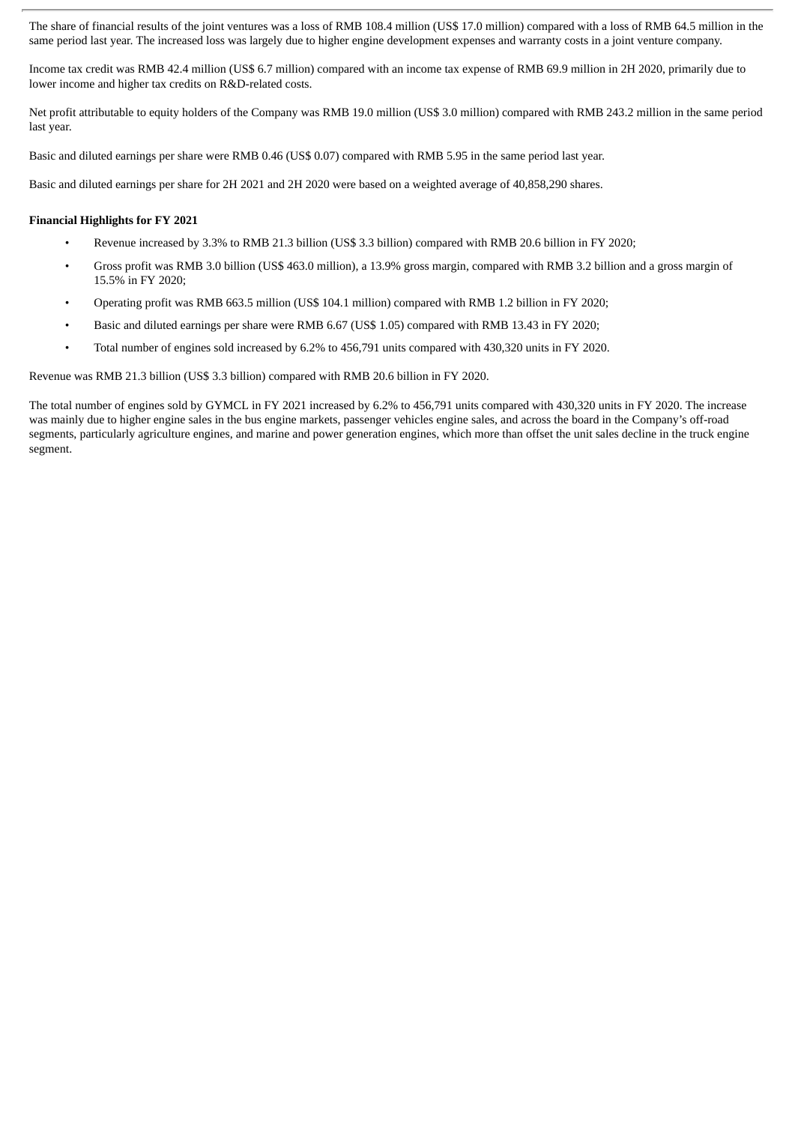The share of financial results of the joint ventures was a loss of RMB 108.4 million (US\$ 17.0 million) compared with a loss of RMB 64.5 million in the same period last year. The increased loss was largely due to higher engine development expenses and warranty costs in a joint venture company.

Income tax credit was RMB 42.4 million (US\$ 6.7 million) compared with an income tax expense of RMB 69.9 million in 2H 2020, primarily due to lower income and higher tax credits on R&D-related costs.

Net profit attributable to equity holders of the Company was RMB 19.0 million (US\$ 3.0 million) compared with RMB 243.2 million in the same period last year.

Basic and diluted earnings per share were RMB 0.46 (US\$ 0.07) compared with RMB 5.95 in the same period last year.

Basic and diluted earnings per share for 2H 2021 and 2H 2020 were based on a weighted average of 40,858,290 shares.

#### **Financial Highlights for FY 2021**

- Revenue increased by 3.3% to RMB 21.3 billion (US\$ 3.3 billion) compared with RMB 20.6 billion in FY 2020;
- Gross profit was RMB 3.0 billion (US\$ 463.0 million), a 13.9% gross margin, compared with RMB 3.2 billion and a gross margin of 15.5% in FY 2020;
- Operating profit was RMB 663.5 million (US\$ 104.1 million) compared with RMB 1.2 billion in FY 2020;
- Basic and diluted earnings per share were RMB 6.67 (US\$ 1.05) compared with RMB 13.43 in FY 2020;
- Total number of engines sold increased by 6.2% to 456,791 units compared with 430,320 units in FY 2020.

Revenue was RMB 21.3 billion (US\$ 3.3 billion) compared with RMB 20.6 billion in FY 2020.

The total number of engines sold by GYMCL in FY 2021 increased by 6.2% to 456,791 units compared with 430,320 units in FY 2020. The increase was mainly due to higher engine sales in the bus engine markets, passenger vehicles engine sales, and across the board in the Company's off-road segments, particularly agriculture engines, and marine and power generation engines, which more than offset the unit sales decline in the truck engine segment.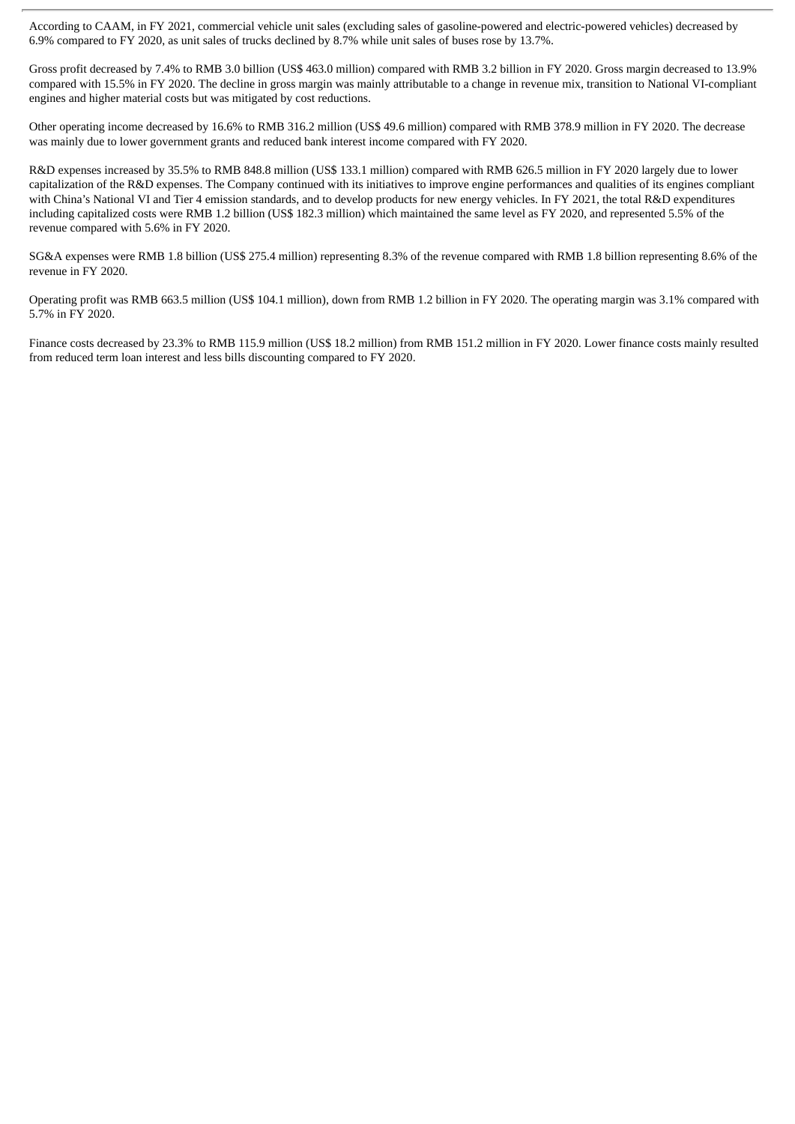According to CAAM, in FY 2021, commercial vehicle unit sales (excluding sales of gasoline-powered and electric-powered vehicles) decreased by 6.9% compared to FY 2020, as unit sales of trucks declined by 8.7% while unit sales of buses rose by 13.7%.

Gross profit decreased by 7.4% to RMB 3.0 billion (US\$ 463.0 million) compared with RMB 3.2 billion in FY 2020. Gross margin decreased to 13.9% compared with 15.5% in FY 2020. The decline in gross margin was mainly attributable to a change in revenue mix, transition to National VI-compliant engines and higher material costs but was mitigated by cost reductions.

Other operating income decreased by 16.6% to RMB 316.2 million (US\$ 49.6 million) compared with RMB 378.9 million in FY 2020. The decrease was mainly due to lower government grants and reduced bank interest income compared with FY 2020.

R&D expenses increased by 35.5% to RMB 848.8 million (US\$ 133.1 million) compared with RMB 626.5 million in FY 2020 largely due to lower capitalization of the R&D expenses. The Company continued with its initiatives to improve engine performances and qualities of its engines compliant with China's National VI and Tier 4 emission standards, and to develop products for new energy vehicles. In FY 2021, the total R&D expenditures including capitalized costs were RMB 1.2 billion (US\$ 182.3 million) which maintained the same level as FY 2020, and represented 5.5% of the revenue compared with 5.6% in FY 2020.

SG&A expenses were RMB 1.8 billion (US\$ 275.4 million) representing 8.3% of the revenue compared with RMB 1.8 billion representing 8.6% of the revenue in FY 2020.

Operating profit was RMB 663.5 million (US\$ 104.1 million), down from RMB 1.2 billion in FY 2020. The operating margin was 3.1% compared with 5.7% in FY 2020.

Finance costs decreased by 23.3% to RMB 115.9 million (US\$ 18.2 million) from RMB 151.2 million in FY 2020. Lower finance costs mainly resulted from reduced term loan interest and less bills discounting compared to FY 2020.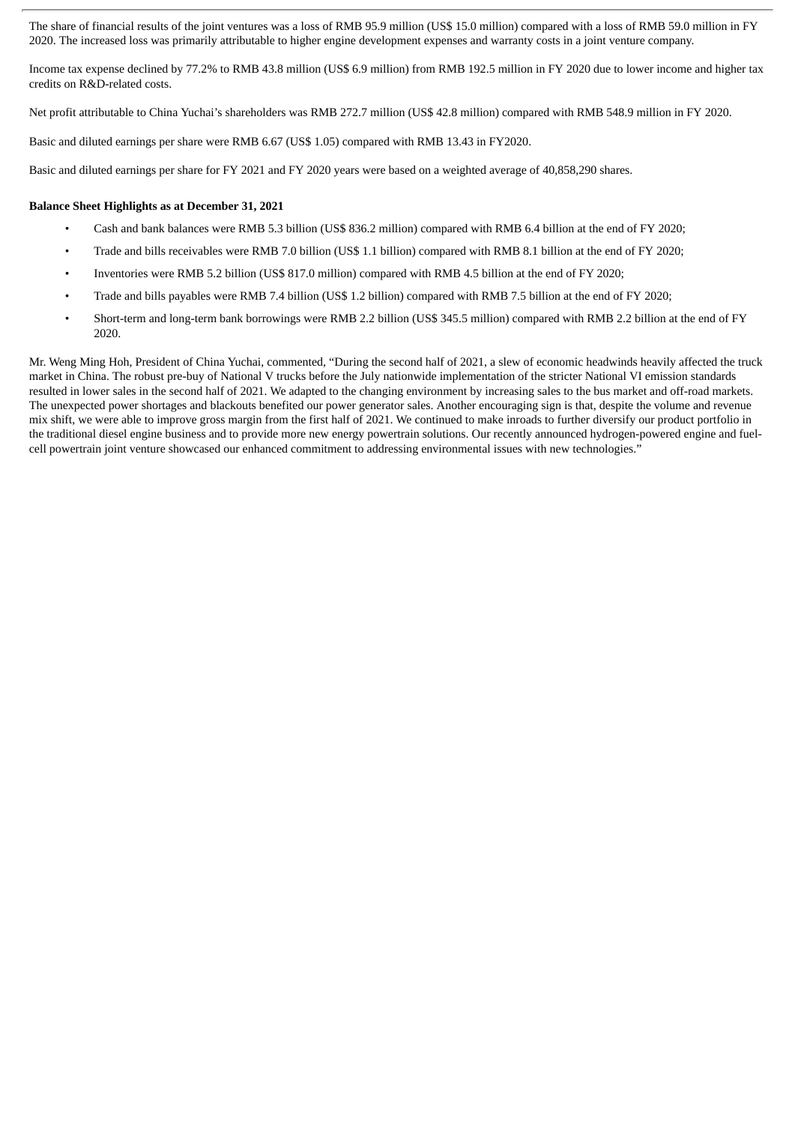The share of financial results of the joint ventures was a loss of RMB 95.9 million (US\$ 15.0 million) compared with a loss of RMB 59.0 million in FY 2020. The increased loss was primarily attributable to higher engine development expenses and warranty costs in a joint venture company.

Income tax expense declined by 77.2% to RMB 43.8 million (US\$ 6.9 million) from RMB 192.5 million in FY 2020 due to lower income and higher tax credits on R&D-related costs.

Net profit attributable to China Yuchai's shareholders was RMB 272.7 million (US\$ 42.8 million) compared with RMB 548.9 million in FY 2020.

Basic and diluted earnings per share were RMB 6.67 (US\$ 1.05) compared with RMB 13.43 in FY2020.

Basic and diluted earnings per share for FY 2021 and FY 2020 years were based on a weighted average of 40,858,290 shares.

#### **Balance Sheet Highlights as at December 31, 2021**

- Cash and bank balances were RMB 5.3 billion (US\$ 836.2 million) compared with RMB 6.4 billion at the end of FY 2020;
- Trade and bills receivables were RMB 7.0 billion (US\$ 1.1 billion) compared with RMB 8.1 billion at the end of FY 2020;
- Inventories were RMB 5.2 billion (US\$ 817.0 million) compared with RMB 4.5 billion at the end of FY 2020;
- Trade and bills payables were RMB 7.4 billion (US\$ 1.2 billion) compared with RMB 7.5 billion at the end of FY 2020;
- Short-term and long-term bank borrowings were RMB 2.2 billion (US\$ 345.5 million) compared with RMB 2.2 billion at the end of FY 2020.

Mr. Weng Ming Hoh, President of China Yuchai, commented, "During the second half of 2021, a slew of economic headwinds heavily affected the truck market in China. The robust pre-buy of National V trucks before the July nationwide implementation of the stricter National VI emission standards resulted in lower sales in the second half of 2021. We adapted to the changing environment by increasing sales to the bus market and off-road markets. The unexpected power shortages and blackouts benefited our power generator sales. Another encouraging sign is that, despite the volume and revenue mix shift, we were able to improve gross margin from the first half of 2021. We continued to make inroads to further diversify our product portfolio in the traditional diesel engine business and to provide more new energy powertrain solutions. Our recently announced hydrogen-powered engine and fuelcell powertrain joint venture showcased our enhanced commitment to addressing environmental issues with new technologies."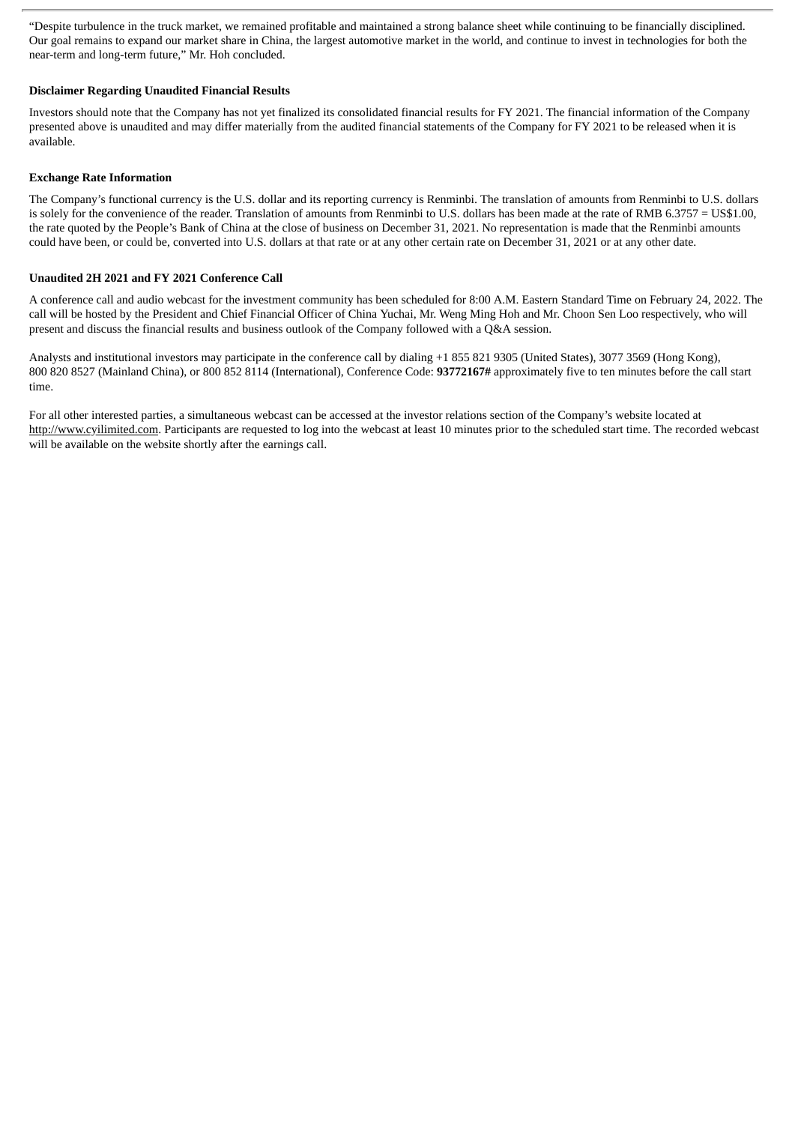"Despite turbulence in the truck market, we remained profitable and maintained a strong balance sheet while continuing to be financially disciplined. Our goal remains to expand our market share in China, the largest automotive market in the world, and continue to invest in technologies for both the near-term and long-term future," Mr. Hoh concluded.

#### **Disclaimer Regarding Unaudited Financial Results**

Investors should note that the Company has not yet finalized its consolidated financial results for FY 2021. The financial information of the Company presented above is unaudited and may differ materially from the audited financial statements of the Company for FY 2021 to be released when it is available.

#### **Exchange Rate Information**

The Company's functional currency is the U.S. dollar and its reporting currency is Renminbi. The translation of amounts from Renminbi to U.S. dollars is solely for the convenience of the reader. Translation of amounts from Renminbi to U.S. dollars has been made at the rate of RMB 6.3757 = US\$1.00, the rate quoted by the People's Bank of China at the close of business on December 31, 2021. No representation is made that the Renminbi amounts could have been, or could be, converted into U.S. dollars at that rate or at any other certain rate on December 31, 2021 or at any other date.

#### **Unaudited 2H 2021 and FY 2021 Conference Call**

A conference call and audio webcast for the investment community has been scheduled for 8:00 A.M. Eastern Standard Time on February 24, 2022. The call will be hosted by the President and Chief Financial Officer of China Yuchai, Mr. Weng Ming Hoh and Mr. Choon Sen Loo respectively, who will present and discuss the financial results and business outlook of the Company followed with a Q&A session.

Analysts and institutional investors may participate in the conference call by dialing +1 855 821 9305 (United States), 3077 3569 (Hong Kong), 800 820 8527 (Mainland China), or 800 852 8114 (International), Conference Code: **93772167#** approximately five to ten minutes before the call start time.

For all other interested parties, a simultaneous webcast can be accessed at the investor relations section of the Company's website located at http://www.cyilimited.com</u>. Participants are requested to log into the webcast at least 10 minutes prior to the scheduled start time. The recorded webcast will be available on the website shortly after the earnings call.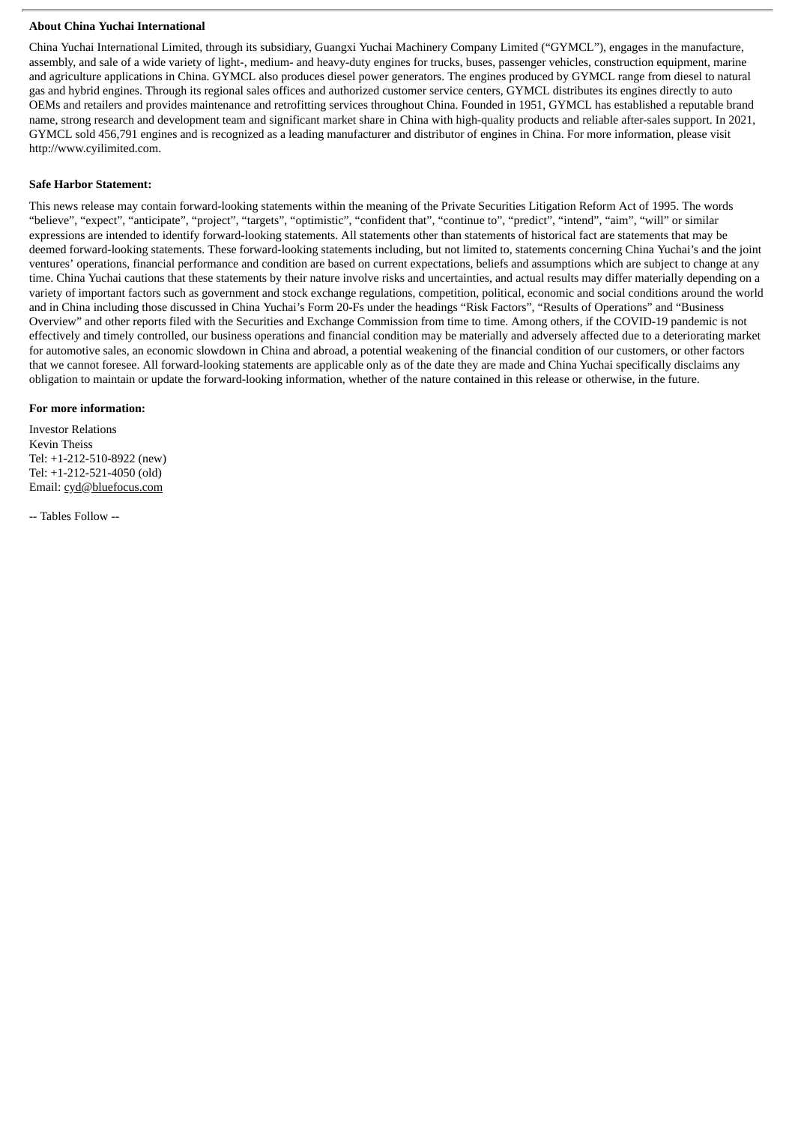#### **About China Yuchai International**

China Yuchai International Limited, through its subsidiary, Guangxi Yuchai Machinery Company Limited ("GYMCL"), engages in the manufacture, assembly, and sale of a wide variety of light-, medium- and heavy-duty engines for trucks, buses, passenger vehicles, construction equipment, marine and agriculture applications in China. GYMCL also produces diesel power generators. The engines produced by GYMCL range from diesel to natural gas and hybrid engines. Through its regional sales offices and authorized customer service centers, GYMCL distributes its engines directly to auto OEMs and retailers and provides maintenance and retrofitting services throughout China. Founded in 1951, GYMCL has established a reputable brand name, strong research and development team and significant market share in China with high-quality products and reliable after-sales support. In 2021, GYMCL sold 456,791 engines and is recognized as a leading manufacturer and distributor of engines in China. For more information, please visit http://www.cyilimited.com.

#### **Safe Harbor Statement:**

This news release may contain forward-looking statements within the meaning of the Private Securities Litigation Reform Act of 1995. The words "believe", "expect", "anticipate", "project", "targets", "optimistic", "confident that", "continue to", "predict", "intend", "aim", "will" or similar expressions are intended to identify forward-looking statements. All statements other than statements of historical fact are statements that may be deemed forward-looking statements. These forward-looking statements including, but not limited to, statements concerning China Yuchai's and the joint ventures' operations, financial performance and condition are based on current expectations, beliefs and assumptions which are subject to change at any time. China Yuchai cautions that these statements by their nature involve risks and uncertainties, and actual results may differ materially depending on a variety of important factors such as government and stock exchange regulations, competition, political, economic and social conditions around the world and in China including those discussed in China Yuchai's Form 20-Fs under the headings "Risk Factors", "Results of Operations" and "Business Overview" and other reports filed with the Securities and Exchange Commission from time to time. Among others, if the COVID-19 pandemic is not effectively and timely controlled, our business operations and financial condition may be materially and adversely affected due to a deteriorating market for automotive sales, an economic slowdown in China and abroad, a potential weakening of the financial condition of our customers, or other factors that we cannot foresee. All forward-looking statements are applicable only as of the date they are made and China Yuchai specifically disclaims any obligation to maintain or update the forward-looking information, whether of the nature contained in this release or otherwise, in the future.

#### **For more information:**

Investor Relations Kevin Theiss Tel: +1-212-510-8922 (new) Tel: +1-212-521-4050 (old) Email: cyd@bluefocus.com

-- Tables Follow --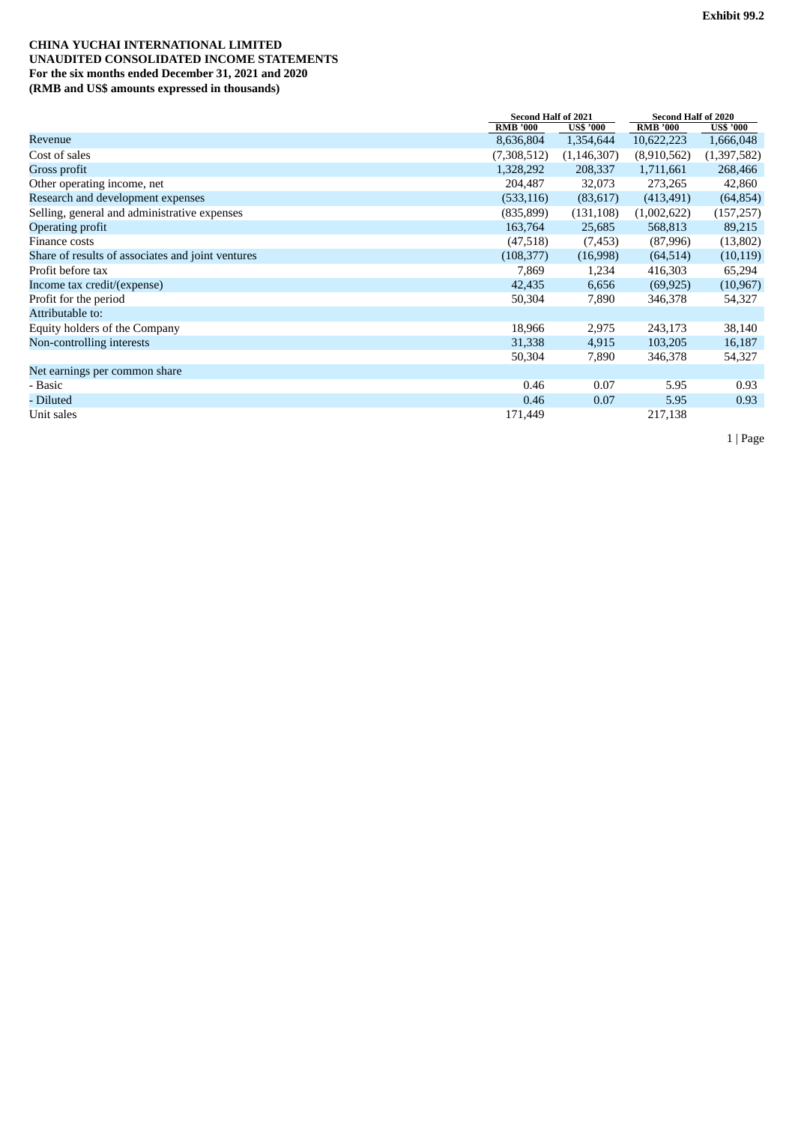#### <span id="page-10-0"></span>**CHINA YUCHAI INTERNATIONAL LIMITED UNAUDITED CONSOLIDATED INCOME STATEMENTS For the six months ended December 31, 2021 and 2020 (RMB and US\$ amounts expressed in thousands)**

|                                                   | Second Half of 2021 |                  | <b>Second Half of 2020</b> |                  |
|---------------------------------------------------|---------------------|------------------|----------------------------|------------------|
|                                                   | <b>RMB</b> '000     | <b>US\$ '000</b> | <b>RMB</b> '000            | <b>US\$ '000</b> |
| Revenue                                           | 8,636,804           | 1,354,644        | 10,622,223                 | 1,666,048        |
| Cost of sales                                     | (7,308,512)         | (1, 146, 307)    | (8,910,562)                | (1,397,582)      |
| Gross profit                                      | 1,328,292           | 208,337          | 1,711,661                  | 268,466          |
| Other operating income, net                       | 204,487             | 32,073           | 273,265                    | 42,860           |
| Research and development expenses                 | (533, 116)          | (83,617)         | (413, 491)                 | (64, 854)        |
| Selling, general and administrative expenses      | (835, 899)          | (131, 108)       | (1,002,622)                | (157, 257)       |
| Operating profit                                  | 163,764             | 25,685           | 568,813                    | 89,215           |
| Finance costs                                     | (47,518)            | (7, 453)         | (87,996)                   | (13,802)         |
| Share of results of associates and joint ventures | (108, 377)          | (16,998)         | (64, 514)                  | (10, 119)        |
| Profit before tax                                 | 7,869               | 1,234            | 416,303                    | 65,294           |
| Income tax credit/(expense)                       | 42,435              | 6,656            | (69, 925)                  | (10, 967)        |
| Profit for the period                             | 50,304              | 7,890            | 346,378                    | 54,327           |
| Attributable to:                                  |                     |                  |                            |                  |
| Equity holders of the Company                     | 18,966              | 2,975            | 243,173                    | 38,140           |
| Non-controlling interests                         | 31,338              | 4,915            | 103,205                    | 16,187           |
|                                                   | 50,304              | 7,890            | 346,378                    | 54,327           |
| Net earnings per common share                     |                     |                  |                            |                  |
| - Basic                                           | 0.46                | 0.07             | 5.95                       | 0.93             |
| - Diluted                                         | 0.46                | 0.07             | 5.95                       | 0.93             |
| Unit sales                                        | 171,449             |                  | 217,138                    |                  |

1 | Page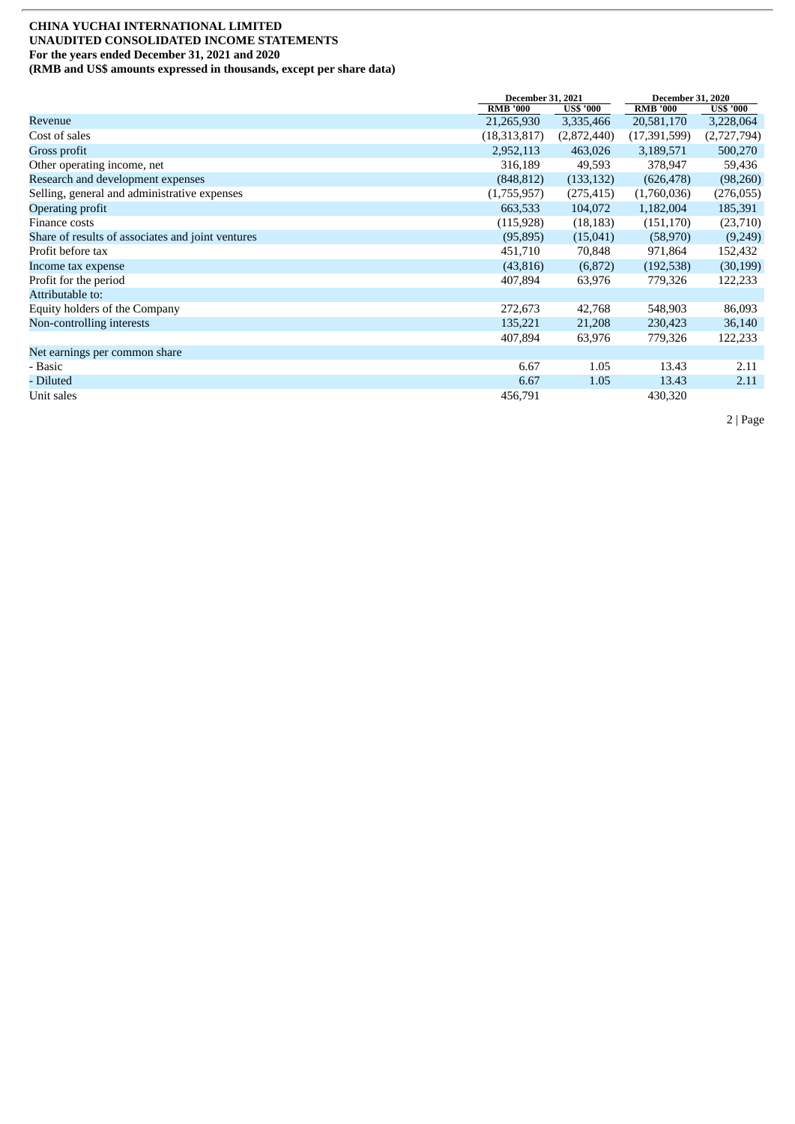#### **CHINA YUCHAI INTERNATIONAL LIMITED UNAUDITED CONSOLIDATED INCOME STATEMENTS For the years ended December 31, 2021 and 2020 (RMB and US\$ amounts expressed in thousands, except per share data)**

|                                                   | <b>December 31, 2021</b> |                  | <b>December 31, 2020</b>     |                  |
|---------------------------------------------------|--------------------------|------------------|------------------------------|------------------|
|                                                   | <b>RMB</b> '000          | <b>US\$ '000</b> | $\overline{\text{RMB}}$ '000 | <b>US\$ '000</b> |
| Revenue                                           | 21,265,930               | 3,335,466        | 20,581,170                   | 3,228,064        |
| Cost of sales                                     | (18,313,817)             | (2,872,440)      | (17,391,599)                 | (2,727,794)      |
| Gross profit                                      | 2,952,113                | 463,026          | 3,189,571                    | 500,270          |
| Other operating income, net                       | 316,189                  | 49,593           | 378,947                      | 59,436           |
| Research and development expenses                 | (848, 812)               | (133, 132)       | (626, 478)                   | (98, 260)        |
| Selling, general and administrative expenses      | (1,755,957)              | (275, 415)       | (1,760,036)                  | (276, 055)       |
| Operating profit                                  | 663,533                  | 104,072          | 1,182,004                    | 185,391          |
| Finance costs                                     | (115, 928)               | (18, 183)        | (151, 170)                   | (23,710)         |
| Share of results of associates and joint ventures | (95, 895)                | (15,041)         | (58, 970)                    | (9,249)          |
| Profit before tax                                 | 451,710                  | 70,848           | 971,864                      | 152,432          |
| Income tax expense                                | (43, 816)                | (6, 872)         | (192, 538)                   | (30, 199)        |
| Profit for the period                             | 407,894                  | 63,976           | 779,326                      | 122,233          |
| Attributable to:                                  |                          |                  |                              |                  |
| Equity holders of the Company                     | 272,673                  | 42,768           | 548,903                      | 86,093           |
| Non-controlling interests                         | 135,221                  | 21,208           | 230,423                      | 36,140           |
|                                                   | 407,894                  | 63,976           | 779,326                      | 122,233          |
| Net earnings per common share                     |                          |                  |                              |                  |
| - Basic                                           | 6.67                     | 1.05             | 13.43                        | 2.11             |
| - Diluted                                         | 6.67                     | 1.05             | 13.43                        | 2.11             |
| Unit sales                                        | 456,791                  |                  | 430,320                      |                  |

2 | Page